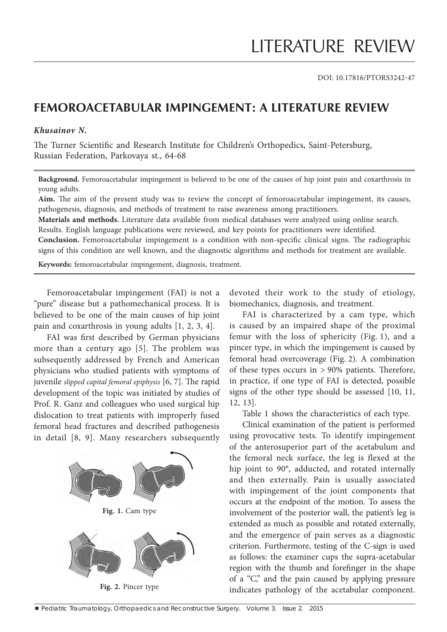DOI: 10.17816/PTORS3242-47

## **FEMOROACETABULAR IMPINGEMENT: A LITERATURE REVIEW**

## *Khusainov N.*

The Turner Scientific and Research Institute for Children's Orthopedics, Saint-Petersburg, Russian Federation, Parkovaya st., 64-68

**Background.** Femoroacetabular impingement is believed to be one of the causes of hip joint pain and coxarthrosis in young adults.

Aim. The aim of the present study was to review the concept of femoroacetabular impingement, its causes, pathogenesis, diagnosis, and methods of treatment to raise awareness among practitioners.

**Materials and methods.** Literature data available from medical databases were analyzed using online search. Results. English language publications were reviewed, and key points for practitioners were identified.

**Conclusion.** Femoroacetabular impingement is a condition with non-specific clinical signs. The radiographic signs of this condition are well known, and the diagnostic algorithms and methods for treatment are available.

**Keywords:** femoroacetabular impingement, diagnosis, treatment.

Femoroacetabular impingement (FAI) is not a "pure" disease but a pathomechanical process. It is believed to be one of the main causes of hip joint pain and coxarthrosis in young adults [1, 2, 3, 4].

FAI was first described by German physicians more than a century ago [5]. The problem was subsequently addressed by French and American physicians who studied patients with symptoms of juvenile *slipped capital femoral epiphysis* [6, 7]. The rapid development of the topic was initiated by studies of Prof. R. Ganz and colleagues who used surgical hip dislocation to treat patients with improperly fused femoral head fractures and described pathogenesis in detail [8, 9]. Many researchers subsequently



devoted their work to the study of etiology, biomechanics, diagnosis, and treatment.

FAI is characterized by a cam type, which is caused by an impaired shape of the proximal femur with the loss of sphericity (Fig. 1), and a pincer type, in which the impingement is caused by femoral head overcoverage (Fig. 2). A combination of these types occurs in  $> 90\%$  patients. Therefore, in practice, if one type of FAI is detected, possible signs of the other type should be assessed [10, 11, 12, 13].

Table 1 shows the characteristics of each type.

Clinical examination of the patient is performed using provocative tests. To identify impingement of the anterosuperior part of the acetabulum and the femoral neck surface, the leg is flexed at the hip joint to 90°, adducted, and rotated internally and then externally. Pain is usually associated with impingement of the joint components that occurs at the endpoint of the motion. To assess the involvement of the posterior wall, the patient's leg is extended as much as possible and rotated externally, and the emergence of pain serves as a diagnostic criterion. Furthermore, testing of the C-sign is used as follows: the examiner cups the supra-acetabular region with the thumb and forefinger in the shape of a "C," and the pain caused by applying pressure indicates pathology of the acetabular component.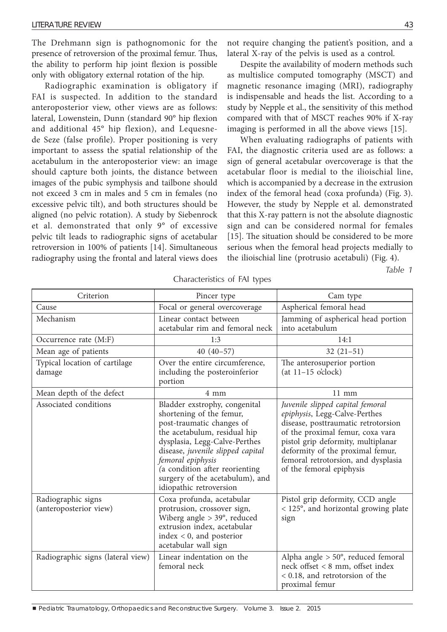The Drehmann sign is pathognomonic for the presence of retroversion of the proximal femur. Thus, the ability to perform hip joint flexion is possible only with obligatory external rotation of the hip.

Radiographic examination is obligatory if FAI is suspected. In addition to the standard anteroposterior view, other views are as follows: lateral, Lowenstein, Dunn (standard 90° hip flexion and additional 45° hip flexion), and Lequesnede Seze (false profile). Proper positioning is very important to assess the spatial relationship of the acetabulum in the anteroposterior view: an image should capture both joints, the distance between images of the pubic symphysis and tailbone should not exceed 3 cm in males and 5 cm in females (no excessive pelvic tilt), and both structures should be aligned (no pelvic rotation). A study by Siebenrock et al. demonstrated that only 9° of excessive pelvic tilt leads to radiographic signs of acetabular retroversion in 100% of patients [14]. Simultaneous radiography using the frontal and lateral views does not require changing the patient's position, and a lateral X-ray of the pelvis is used as a control.

Despite the availability of modern methods such as multislice computed tomography (MSCT) and magnetic resonance imaging (MRI), radiography is indispensable and heads the list. According to a study by Nepple et al., the sensitivity of this method compared with that of MSCT reaches 90% if X-ray imaging is performed in all the above views [15].

When evaluating radiographs of patients with FAI, the diagnostic criteria used are as follows: a sign of general acetabular overcoverage is that the acetabular floor is medial to the ilioischial line, which is accompanied by a decrease in the extrusion index of the femoral head (coxa profunda) (Fig. 3). However, the study by Nepple et al. demonstrated that this X-ray pattern is not the absolute diagnostic sign and can be considered normal for females [15]. The situation should be considered to be more serious when the femoral head projects medially to the ilioischial line (protrusio acetabuli) (Fig. 4).

*Table 1* 

| Criterion                                    | Pincer type                                                                                                                                                                                                                                                                                                       | Cam type                                                                                                                                                                                                                                                                                  |
|----------------------------------------------|-------------------------------------------------------------------------------------------------------------------------------------------------------------------------------------------------------------------------------------------------------------------------------------------------------------------|-------------------------------------------------------------------------------------------------------------------------------------------------------------------------------------------------------------------------------------------------------------------------------------------|
| Cause                                        | Focal or general overcoverage                                                                                                                                                                                                                                                                                     | Aspherical femoral head                                                                                                                                                                                                                                                                   |
| Mechanism                                    | Linear contact between<br>acetabular rim and femoral neck                                                                                                                                                                                                                                                         | Jamming of aspherical head portion<br>into acetabulum                                                                                                                                                                                                                                     |
| Occurrence rate (M:F)                        | 1:3                                                                                                                                                                                                                                                                                                               | 14:1                                                                                                                                                                                                                                                                                      |
| Mean age of patients                         | $40(40-57)$                                                                                                                                                                                                                                                                                                       | $32(21-51)$                                                                                                                                                                                                                                                                               |
| Typical location of cartilage<br>damage      | Over the entire circumference,<br>including the posteroinferior<br>portion                                                                                                                                                                                                                                        | The anterosuperior portion<br>$(at 11-15 o'clock)$                                                                                                                                                                                                                                        |
| Mean depth of the defect                     | 4 mm                                                                                                                                                                                                                                                                                                              | $11 \text{ mm}$                                                                                                                                                                                                                                                                           |
| Associated conditions                        | Bladder exstrophy, congenital<br>shortening of the femur,<br>post-traumatic changes of<br>the acetabulum, residual hip<br>dysplasia, Legg-Calve-Perthes<br>disease, juvenile slipped capital<br>femoral epiphysis<br>(a condition after reorienting<br>surgery of the acetabulum), and<br>idiopathic retroversion | Juvenile slipped capital femoral<br>epiphysis, Legg-Calve-Perthes<br>disease, posttraumatic retrotorsion<br>of the proximal femur, coxa vara<br>pistol grip deformity, multiplanar<br>deformity of the proximal femur,<br>femoral retrotorsion, and dysplasia<br>of the femoral epiphysis |
| Radiographic signs<br>(anteroposterior view) | Coxa profunda, acetabular<br>protrusion, crossover sign,<br>Wiberg angle $> 39^\circ$ , reduced<br>extrusion index, acetabular<br>$index < 0$ , and posterior<br>acetabular wall sign                                                                                                                             | Pistol grip deformity, CCD angle<br>< 125°, and horizontal growing plate<br>sign                                                                                                                                                                                                          |
| Radiographic signs (lateral view)            | Linear indentation on the<br>femoral neck                                                                                                                                                                                                                                                                         | Alpha angle $> 50^\circ$ , reduced femoral<br>neck offset < 8 mm, offset index<br>< 0.18, and retrotorsion of the<br>proximal femur                                                                                                                                                       |

Characteristics of FAI types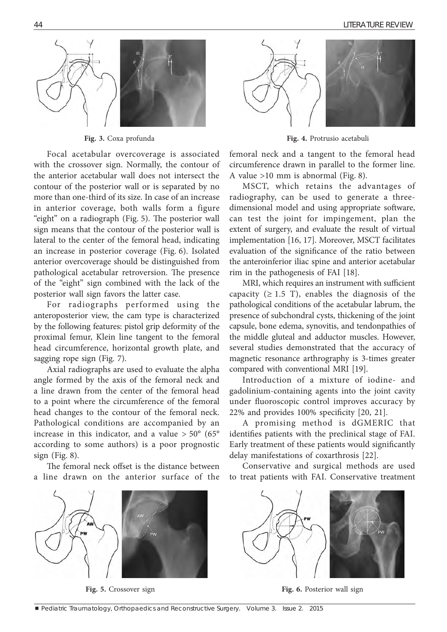

Focal acetabular overcoverage is associated with the crossover sign. Normally, the contour of the anterior acetabular wall does not intersect the contour of the posterior wall or is separated by no more than one-third of its size. In case of an increase in anterior coverage, both walls form a figure "eight" on a radiograph (Fig. 5). The posterior wall sign means that the contour of the posterior wall is lateral to the center of the femoral head, indicating an increase in posterior coverage (Fig. 6). Isolated anterior overcoverage should be distinguished from pathological acetabular retroversion. The presence of the "eight" sign combined with the lack of the posterior wall sign favors the latter case.

For radiographs performed using the anteroposterior view, the cam type is characterized by the following features: pistol grip deformity of the proximal femur, Klein line tangent to the femoral head circumference, horizontal growth plate, and sagging rope sign (Fig. 7).

Axial radiographs are used to evaluate the alpha angle formed by the axis of the femoral neck and a line drawn from the center of the femoral head to a point where the circumference of the femoral head changes to the contour of the femoral neck. Pathological conditions are accompanied by an increase in this indicator, and a value  $> 50^{\circ}$  (65° according to some authors) is a poor prognostic sign (Fig. 8).

The femoral neck offset is the distance between a line drawn on the anterior surface of the





**Fig. 3.** Coxa profunda **Fig. 4.** Protrusio acetabuli

femoral neck and a tangent to the femoral head circumference drawn in parallel to the former line. A value >10 mm is abnormal (Fig. 8).

MSCT, which retains the advantages of radiography, can be used to generate a threedimensional model and using appropriate software, can test the joint for impingement, plan the extent of surgery, and evaluate the result of virtual implementation [16, 17]. Moreover, MSCT facilitates evaluation of the significance of the ratio between the anteroinferior iliac spine and anterior acetabular rim in the pathogenesis of FAI [18].

MRI, which requires an instrument with sufficient capacity ( $\geq 1.5$  T), enables the diagnosis of the pathological conditions of the acetabular labrum, the presence of subchondral cysts, thickening of the joint capsule, bone edema, synovitis, and tendonpathies of the middle gluteal and adductor muscles. However, several studies demonstrated that the accuracy of magnetic resonance arthrography is 3-times greater compared with conventional MRI [19].

Introduction of a mixture of iodine- and gadolinium-containing agents into the joint cavity under fluoroscopic control improves accuracy by 22% and provides 100% specificity [20, 21].

A promising method is dGMERIC that identifies patients with the preclinical stage of FAI. Early treatment of these patients would significantly delay manifestations of coxarthrosis [22].

Conservative and surgical methods are used to treat patients with FAI. Conservative treatment



**Fig. 5.** Crossover sign **Fig. 6.** Posterior wall sign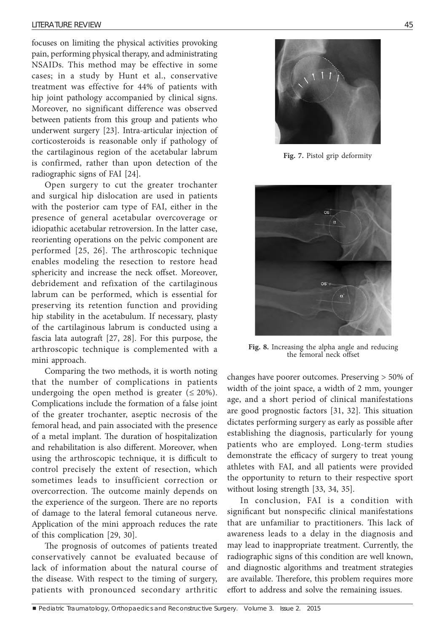focuses on limiting the physical activities provoking pain, performing physical therapy, and administrating NSAIDs. This method may be effective in some cases; in a study by Hunt et al., conservative treatment was effective for 44% of patients with hip joint pathology accompanied by clinical signs. Moreover, no significant difference was observed between patients from this group and patients who underwent surgery [23]. Intra-articular injection of corticosteroids is reasonable only if pathology of the cartilaginous region of the acetabular labrum is confirmed, rather than upon detection of the radiographic signs of FAI [24].

Open surgery to cut the greater trochanter and surgical hip dislocation are used in patients with the posterior cam type of FAI, either in the presence of general acetabular overcoverage or idiopathic acetabular retroversion. In the latter case, reorienting operations on the pelvic component are performed [25, 26]. The arthroscopic technique enables modeling the resection to restore head sphericity and increase the neck offset. Moreover, debridement and refixation of the cartilaginous labrum can be performed, which is essential for preserving its retention function and providing hip stability in the acetabulum. If necessary, plasty of the cartilaginous labrum is conducted using a fascia lata autograft [27, 28]. For this purpose, the arthroscopic technique is complemented with a mini approach.

Comparing the two methods, it is worth noting that the number of complications in patients undergoing the open method is greater  $(\leq 20\%).$ Complications include the formation of a false joint of the greater trochanter, aseptic necrosis of the femoral head, and pain associated with the presence of a metal implant. The duration of hospitalization and rehabilitation is also different. Moreover, when using the arthroscopic technique, it is difficult to control precisely the extent of resection, which sometimes leads to insufficient correction or overcorrection. The outcome mainly depends on the experience of the surgeon. There are no reports of damage to the lateral femoral cutaneous nerve. Application of the mini approach reduces the rate of this complication [29, 30].

The prognosis of outcomes of patients treated conservatively cannot be evaluated because of lack of information about the natural course of the disease. With respect to the timing of surgery, patients with pronounced secondary arthritic



**Fig. 7.** Pistol grip deformity



**Fig. 8.** Increasing the alpha angle and reducing the femoral neck offset

changes have poorer outcomes. Preserving > 50% of width of the joint space, a width of 2 mm, younger age, and a short period of clinical manifestations are good prognostic factors [31, 32]. This situation dictates performing surgery as early as possible after establishing the diagnosis, particularly for young patients who are employed. Long-term studies demonstrate the efficacy of surgery to treat young athletes with FAI, and all patients were provided the opportunity to return to their respective sport without losing strength [33, 34, 35].

In conclusion, FAI is a condition with significant but nonspecific clinical manifestations that are unfamiliar to practitioners. This lack of awareness leads to a delay in the diagnosis and may lead to inappropriate treatment. Currently, the radiographic signs of this condition are well known, and diagnostic algorithms and treatment strategies are available. Therefore, this problem requires more effort to address and solve the remaining issues.

**Pediatric Traumatology, Orthopaedics and Reconstructive Surgery. Volume 3. Issue 2. 2015**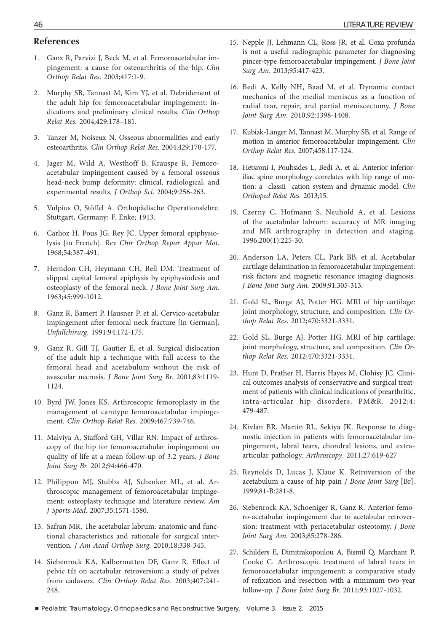## **References**

- 1. Ganz R, Parvizi J, Beck M, et al. Femoroacetabular impingement: a cause for osteoarthritis of the hip. *Clin Orthop Relat Res*. 2003;417:1-9.
- 2. Murphy SB, Tannast M, Kim YJ, et al. Debridement of the adult hip for femoroacetabular impingement: indications and preliminary clinical results. *Clin Orthop Relat Res*. 2004;429:178–181.
- 3. Tanzer M, Noiseux N. Osseous abnormalities and early osteoarthritis. *Clin Orthop Relat Res*. 2004;429:170-177.
- 4. Jager M, Wild A, Westhoff B, Krauspe R. Femoroacetabular impingement caused by a femoral osseous head-neck bump deformity: clinical, radiological, and experimental results. *J Orthop Sci*. 2004;9:256-263.
- 5. Vulpius O, Stöffel A. Orthopädische Operationslehre. Stuttgart, Germany: F. Enke; 1913.
- 6. Carlioz H, Pous JG, Rey JC. Upper femoral epiphysiolysis [in French]. *Rev Chir Orthop Repar Appar Mot*. 1968;54:387-491.
- 7. Herndon CH, Heymann CH, Bell DM. Treatment of slipped capital femoral epiphysis by epiphysiodesis and osteoplasty of the femoral neck. *J Bone Joint Surg Am*. 1963;45:999-1012.
- 8. Ganz R, Bamert P, Hausner P, et al. Cervico-acetabular impingement after femoral neck fracture [in German]. *Unfallchirurg*. 1991;94:172-175.
- 9. Ganz R, Gill TJ, Gautier E, et al. Surgical dislocation of the adult hip a technique with full access to the femoral head and acetabulum without the risk of avascular necrosis. *J Bone Joint Surg Br.* 2001;83:1119- 1124.
- 10. Byrd JW, Jones KS. Arthroscopic femoroplasty in the management of camtype femoroacetabular impingement. *Clin Orthop Relat Res*. 2009;467:739-746.
- 11. Malviya A, Stafford GH, Villar RN. Impact of arthroscopy of the hip for femoroacetabular impingement on quality of life at a mean follow-up of 3.2 years. *J Bone Joint Surg Br.* 2012;94:466-470.
- 12. Philippon MJ, Stubbs AJ, Schenker ML, et al. Arthroscopic management of femoroacetabular impingement: osteoplasty technique and literature review. *Am J Sports Med*. 2007;35:1571-1580.
- 13. Safran MR. The acetabular labrum: anatomic and functional characteristics and rationale for surgical intervention. *J Am Acad Orthop Surg*. 2010;18:338-345.
- 14. Siebenrock KA, Kalbermatten DF, Ganz R. Effect of pelvic tilt on acetabular retroversion: a study of pelves from cadavers. *Clin Orthop Relat Res*. 2003;407:241- 248.
- 15. Nepple JJ, Lehmann CL, Ross JR, et al. Coxa profunda is not a useful radiographic parameter for diagnosing pincer-type femoroacetabular impingement. *J Bone Joint Surg Am*. 2013;95:417-423.
- 16. Bedi A, Kelly NH, Baad M, et al. Dynamic contact mechanics of the medial meniscus as a function of radial tear, repair, and partial meniscectomy. *J Bone Joint Surg Am*. 2010;92:1398-1408.
- 17. Kubiak-Langer M, Tannast M, Murphy SB, et al. Range of motion in anterior femoroacetabular impingement. *Clin Orthop Relat Res.* 2007;458:117-124.
- 18. Hetsroni I, Poultsides L, Bedi A, et al. Anterior inferioriliac spine morphology correlates with hip range of motion: a classii cation system and dynamic model. *Clin Orthoped Relat Res.* 2013;15.
- 19. Czerny C, Hofmann S, Neuhold A, et al. Lesions of the acetabular labrum: accuracy of MR imaging and MR arthrography in detection and staging. 1996;200(1):225-30.
- 20. Anderson LA, Peters CL, Park BB, et al. Acetabular cartilage delamination in femoroacetabular impingement: risk factors and magnetic resonance imaging diagnosis. *J Bone Joint Surg Am.* 2009;91:305-313.
- 21. Gold SL, Burge AJ, Potter HG. MRI of hip cartilage: joint morphology, structure, and composition. *Clin Orthop Relat Res*. 2012;470:3321-3331.
- 22. Gold SL, Burge AJ, Potter HG. MRI of hip cartilage: joint morphology, structure, and composition. *Clin Orthop Relat Res.* 2012;470:3321-3331.
- 23. Hunt D, Prather H, Harris Hayes M, Clohisy JC. Clinical outcomes analysis of conservative and surgical treatment of patients with clinical indications of prearthritic, intra-articular hip disorders. PM&R. 2012;4: 479-487.
- 24. Kivlan BR, Martin RL, Sekiya JK. Response to diagnostic injection in patients with femoroacetabular impingement, labral tears, chondral lesions, and extraarticular pathology. *Arthroscopy*. 2011;27:619-627
- 25. Reynolds D, Lucas J, Klaue K. Retroversion of the acetabulum a cause of hip pain *J Bone Joint Surg* [Br]. 1999;81-B:281-8.
- 26. Siebenrock KA, Schoeniger R, Ganz R. Anterior femoro-acetabular impingement due to acetabular retroversion: treatment with periacetabular osteotomy. *J Bone Joint Surg Am*. 2003;85:278-286.
- 27. Schilders E, Dimitrakopoulou A, Bismil Q, Marchant P, Cooke C. Arthroscopic treatment of labral tears in femoroacetabular impingement: a comparative study of refixation and resection with a minimum two-year follow-up. *J Bone Joint Surg Br.* 2011;93:1027-1032.